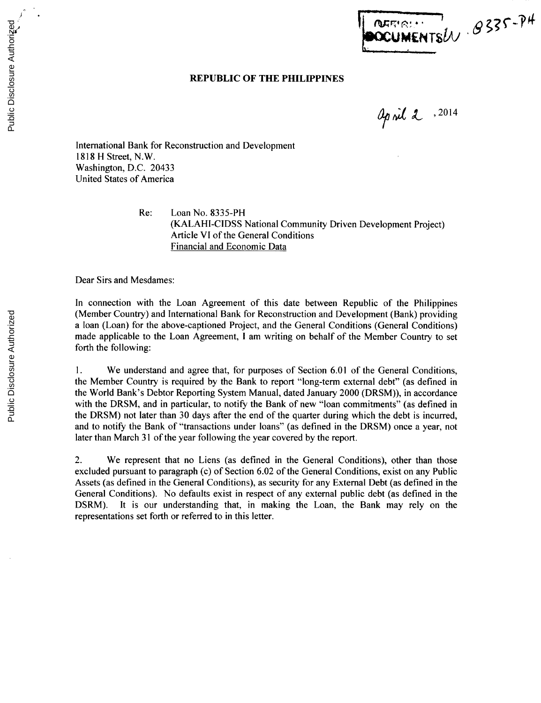## **REPUBLIC OF THE PHILIPPINES**

april 2. 2014

NATION OS35-PH

International Bank for Reconstruction and Development **1818** H Street, N.W. Washington, **D.C.** 20433 United States of America

> Re: Loan No. **8335-PH (KALAHI-CIDSS** National Community Driven Development Project) Article VI of the General Conditions Financial and Economic Data

Dear Sirs and Mesdames:

In connection with the Loan Agreement of this date between Republic of the Philippines (Member Country) and International Bank for Reconstruction and Development (Bank) providing a loan (Loan) for the above-captioned Project, and the General Conditions (General Conditions) made applicable to the Loan Agreement, **I** am writing on behalf of the Member Country to set forth the following:

**1.** We understand and agree that, for purposes of Section **6.01** of the General Conditions, the Member Country is required **by** the Bank to report "long-term external debt" (as defined in the World Bank's Debtor Reporting System Manual, dated January 2000 (DRSM)), in accordance with the DRSM, and in particular, to notify the Bank of new "loan commitments" (as defined in the DRSM) not later than **30** days after the end of the quarter during which the debt is incurred, and to notify the Bank of "transactions under loans" (as defined in the DRSM) once a year, not later than March **31** of the year following the year covered **by** the report.

2. We represent that no Liens (as defined in the General Conditions), other than those excluded pursuant to paragraph (c) of Section **6.02** of the General Conditions, exist on any Public Assets (as defined in the General Conditions), as security for any External Debt (as defined in the General Conditions). No defaults exist in respect of any external public debt (as defined in the DSRM). It is our understanding that, in making the Loan, the Bank may rely on the representations set forth or referred to in this letter.

Public Disclosure Authorized